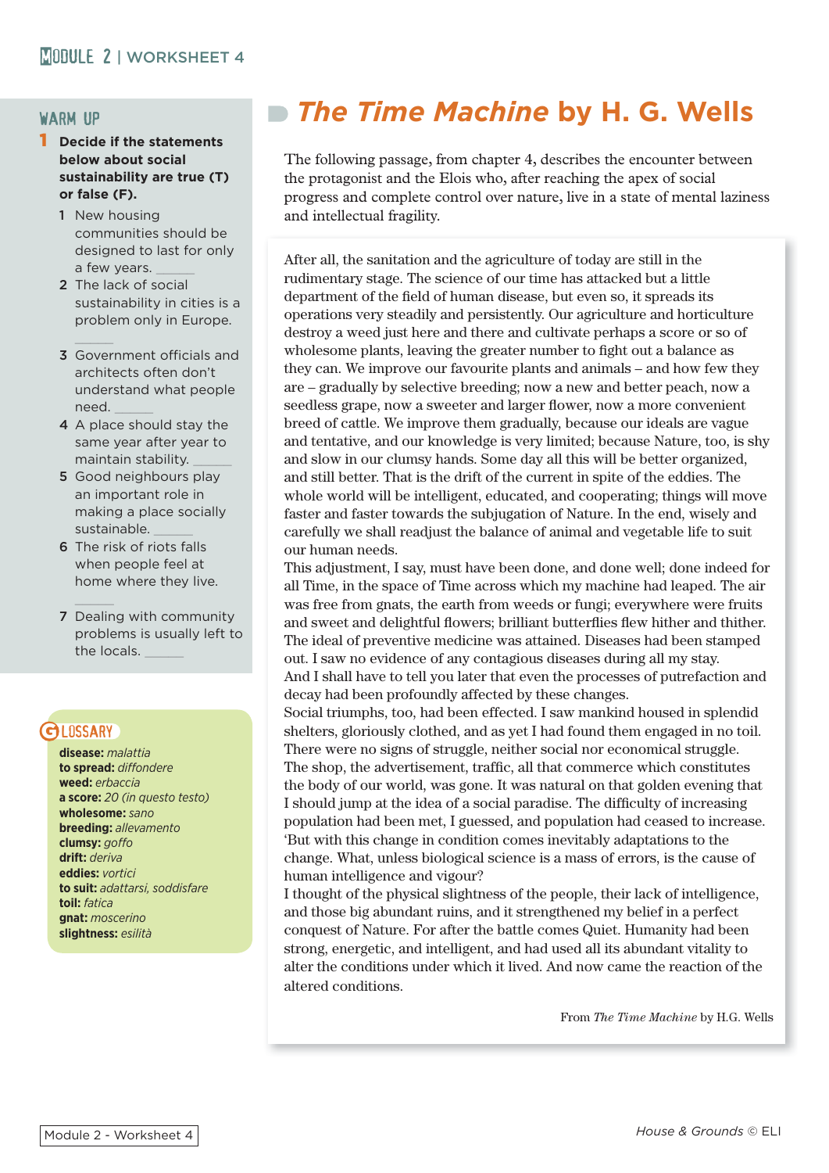### warm up

#### 1 **Decide if the statements below about social sustainability are true (T) or false (F).**

- 1 New housing communities should be designed to last for only a few years.
- 2 The lack of social sustainability in cities is a problem only in Europe.
- **3** Government officials and architects often don't understand what people need. \_\_\_\_\_
- 4 A place should stay the same year after year to maintain stability. \_\_\_\_\_
- 5 Good neighbours play an important role in making a place socially sustainable. \_\_\_\_\_
- 6 The risk of riots falls when people feel at home where they live.
- 7 Dealing with community problems is usually left to the locals.

# **GLOSSARY**

**disease:** *malattia*  **to spread:** *diffondere* **weed:** *erbaccia* **a score:** *20 (in questo testo)* **wholesome:** *sano* **breeding:** *allevamento* **clumsy:** *goff o* **drift:** *deriva* **eddies:** *vortici*  **to suit:** *adattarsi, soddisfare* **toil:** *fatica* **gnat:** *moscerino* **slightness:** *esilità*

# *The Time Machine* **by H. G. Wells**

The following passage, from chapter 4, describes the encounter between the protagonist and the Elois who, after reaching the apex of social progress and complete control over nature, live in a state of mental laziness and intellectual fragility.

After all, the sanitation and the agriculture of today are still in the rudimentary stage. The science of our time has attacked but a little department of the field of human disease, but even so, it spreads its operations very steadily and persistently. Our agriculture and horticulture destroy a weed just here and there and cultivate perhaps a score or so of wholesome plants, leaving the greater number to fight out a balance as they can. We improve our favourite plants and animals – and how few they are – gradually by selective breeding; now a new and better peach, now a seedless grape, now a sweeter and larger flower, now a more convenient breed of cattle. We improve them gradually, because our ideals are vague and tentative, and our knowledge is very limited; because Nature, too, is shy and slow in our clumsy hands. Some day all this will be better organized, and still better. That is the drift of the current in spite of the eddies. The whole world will be intelligent, educated, and cooperating; things will move faster and faster towards the subjugation of Nature. In the end, wisely and carefully we shall readjust the balance of animal and vegetable life to suit our human needs.

This adjustment, I say, must have been done, and done well; done indeed for all Time, in the space of Time across which my machine had leaped. The air was free from gnats, the earth from weeds or fungi; everywhere were fruits and sweet and delightful flowers; brilliant butterflies flew hither and thither. The ideal of preventive medicine was attained. Diseases had been stamped out. I saw no evidence of any contagious diseases during all my stay. And I shall have to tell you later that even the processes of putrefaction and decay had been profoundly affected by these changes.

Social triumphs, too, had been effected. I saw mankind housed in splendid shelters, gloriously clothed, and as yet I had found them engaged in no toil. There were no signs of struggle, neither social nor economical struggle. The shop, the advertisement, traffic, all that commerce which constitutes the body of our world, was gone. It was natural on that golden evening that I should jump at the idea of a social paradise. The difficulty of increasing population had been met, I guessed, and population had ceased to increase. 'But with this change in condition comes inevitably adaptations to the change. What, unless biological science is a mass of errors, is the cause of human intelligence and vigour?

I thought of the physical slightness of the people, their lack of intelligence, and those big abundant ruins, and it strengthened my belief in a perfect conquest of Nature. For after the battle comes Quiet. Humanity had been strong, energetic, and intelligent, and had used all its abundant vitality to alter the conditions under which it lived. And now came the reaction of the altered conditions.

From *The Time Machine* by H.G. Wells